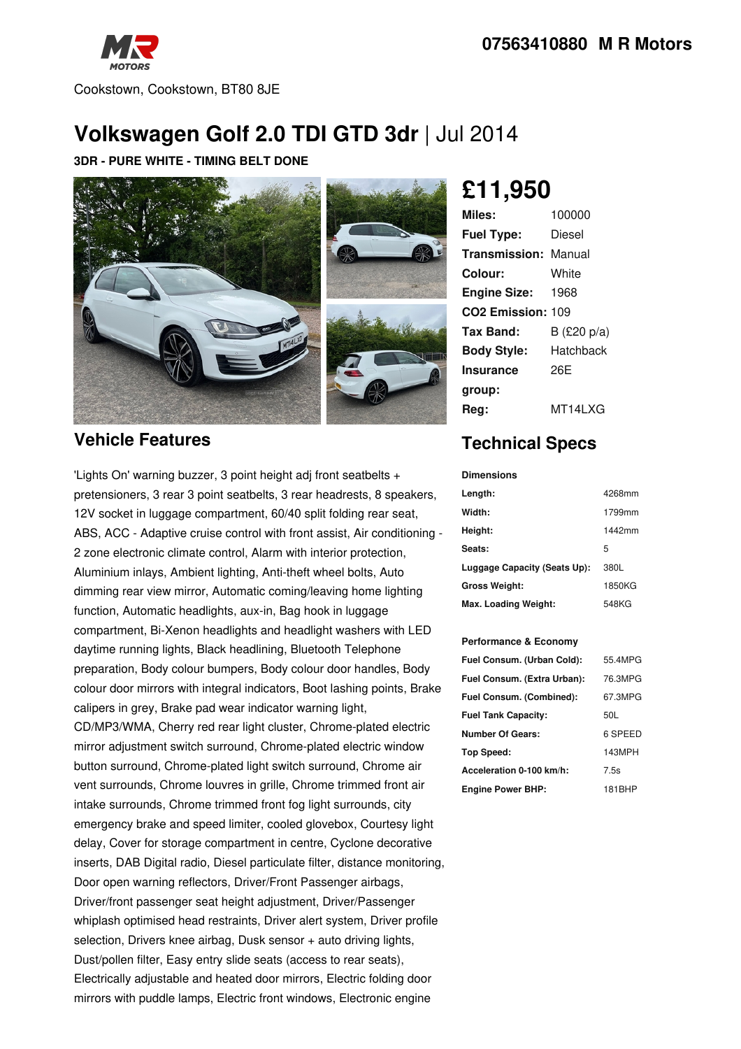

Cookstown, Cookstown, BT80 8JE

# **Volkswagen Golf 2.0 TDI GTD 3dr** | Jul 2014

#### **3DR - PURE WHITE - TIMING BELT DONE**



## **Vehicle Features**

'Lights On' warning buzzer, 3 point height adj front seatbelts + pretensioners, 3 rear 3 point seatbelts, 3 rear headrests, 8 speakers, 12V socket in luggage compartment, 60/40 split folding rear seat, ABS, ACC - Adaptive cruise control with front assist, Air conditioning - 2 zone electronic climate control, Alarm with interior protection, Aluminium inlays, Ambient lighting, Anti-theft wheel bolts, Auto dimming rear view mirror, Automatic coming/leaving home lighting function, Automatic headlights, aux-in, Bag hook in luggage compartment, Bi-Xenon headlights and headlight washers with LED daytime running lights, Black headlining, Bluetooth Telephone preparation, Body colour bumpers, Body colour door handles, Body colour door mirrors with integral indicators, Boot lashing points, Brake calipers in grey, Brake pad wear indicator warning light, CD/MP3/WMA, Cherry red rear light cluster, Chrome-plated electric mirror adjustment switch surround, Chrome-plated electric window button surround, Chrome-plated light switch surround, Chrome air vent surrounds, Chrome louvres in grille, Chrome trimmed front air intake surrounds, Chrome trimmed front fog light surrounds, city emergency brake and speed limiter, cooled glovebox, Courtesy light delay, Cover for storage compartment in centre, Cyclone decorative inserts, DAB Digital radio, Diesel particulate filter, distance monitoring, Door open warning reflectors, Driver/Front Passenger airbags, Driver/front passenger seat height adjustment, Driver/Passenger whiplash optimised head restraints, Driver alert system, Driver profile selection, Drivers knee airbag, Dusk sensor + auto driving lights, Dust/pollen filter, Easy entry slide seats (access to rear seats), Electrically adjustable and heated door mirrors, Electric folding door mirrors with puddle lamps, Electric front windows, Electronic engine

# **£11,950**

| Miles:                        | 100000      |
|-------------------------------|-------------|
| <b>Fuel Type:</b>             | Diesel      |
| <b>Transmission: Manual</b>   |             |
| Colour:                       | White       |
| <b>Engine Size:</b>           | 1968        |
| CO <sub>2</sub> Emission: 109 |             |
| Tax Band:                     | B (£20 p/a) |
| <b>Body Style:</b>            | Hatchback   |
| <b>Insurance</b>              | 26E         |
| group:                        |             |
| Rea:                          | MT14LXG     |

# **Technical Specs**

**Dimensions**

| ршензічіз                    |        |
|------------------------------|--------|
| Length:                      | 4268mm |
| Width:                       | 1799mm |
| Height:                      | 1442mm |
| Seats:                       | 5      |
| Luggage Capacity (Seats Up): | 380L   |
| Gross Weight:                | 1850KG |
| Max. Loading Weight:         | 548KG  |

#### **Performance & Economy**

| Fuel Consum. (Urban Cold):  | 55.4MPG |
|-----------------------------|---------|
| Fuel Consum. (Extra Urban): | 76.3MPG |
| Fuel Consum. (Combined):    | 67.3MPG |
| <b>Fuel Tank Capacity:</b>  | 50L     |
| <b>Number Of Gears:</b>     | 6 SPEED |
| Top Speed:                  | 143MPH  |
| Acceleration 0-100 km/h:    | 7.5s    |
| <b>Engine Power BHP:</b>    | 181BHP  |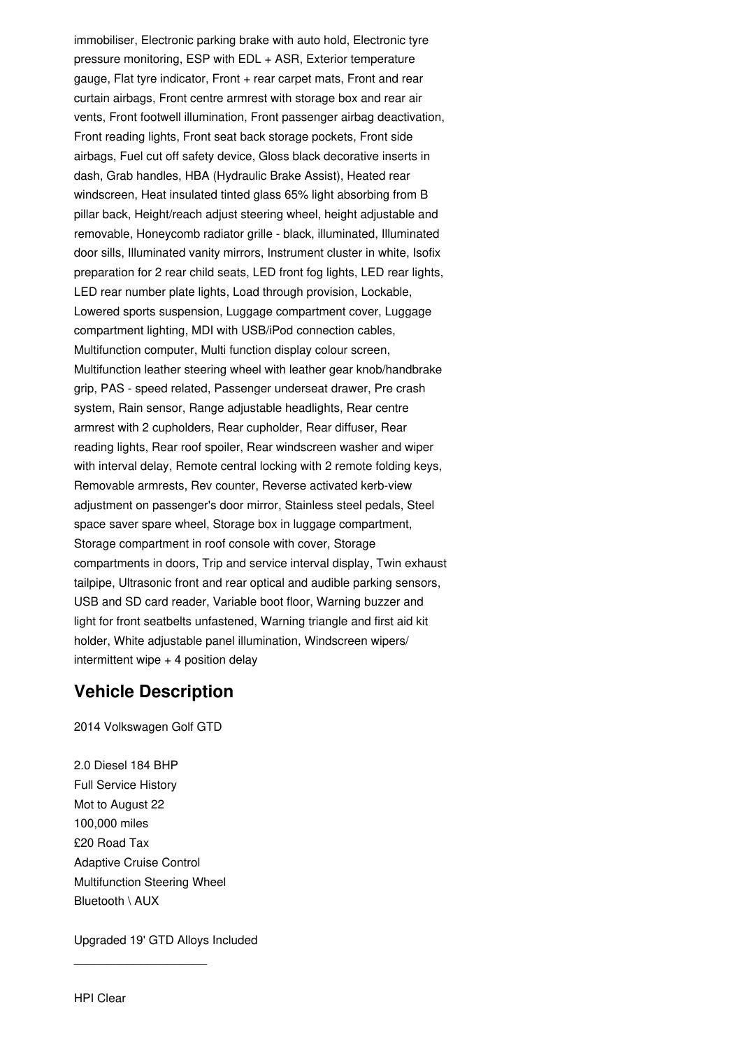immobiliser, Electronic parking brake with auto hold, Electronic tyre pressure monitoring, ESP with EDL + ASR, Exterior temperature gauge, Flat tyre indicator, Front  $+$  rear carpet mats, Front and rear curtain airbags, Front centre armrest with storage box and rear air vents, Front footwell illumination, Front passenger airbag deactivation, Front reading lights, Front seat back storage pockets, Front side airbags, Fuel cut off safety device, Gloss black decorative inserts in dash, Grab handles, HBA (Hydraulic Brake Assist), Heated rear windscreen, Heat insulated tinted glass 65% light absorbing from B pillar back, Height/reach adjust steering wheel, height adjustable and removable, Honeycomb radiator grille - black, illuminated, Illuminated door sills, Illuminated vanity mirrors, Instrument cluster in white, Isofix preparation for 2 rear child seats, LED front fog lights, LED rear lights, LED rear number plate lights, Load through provision, Lockable, Lowered sports suspension, Luggage compartment cover, Luggage compartment lighting, MDI with USB/iPod connection cables, Multifunction computer, Multi function display colour screen, Multifunction leather steering wheel with leather gear knob/handbrake grip, PAS - speed related, Passenger underseat drawer, Pre crash system, Rain sensor, Range adjustable headlights, Rear centre armrest with 2 cupholders, Rear cupholder, Rear diffuser, Rear reading lights, Rear roof spoiler, Rear windscreen washer and wiper with interval delay, Remote central locking with 2 remote folding keys, Removable armrests, Rev counter, Reverse activated kerb-view adjustment on passenger's door mirror, Stainless steel pedals, Steel space saver spare wheel, Storage box in luggage compartment, Storage compartment in roof console with cover, Storage compartments in doors, Trip and service interval display, Twin exhaust tailpipe, Ultrasonic front and rear optical and audible parking sensors, USB and SD card reader, Variable boot floor, Warning buzzer and light for front seatbelts unfastened, Warning triangle and first aid kit holder, White adjustable panel illumination, Windscreen wipers/ intermittent wipe  $+$  4 position delay

### **Vehicle Description**

2014 Volkswagen Golf GTD

2.0 Diesel 184 BHP Full Service History Mot to August 22 100,000 miles £20 Road Tax Adaptive Cruise Control Multifunction Steering Wheel Bluetooth \ AUX

Upgraded 19'GTD Alloys Included

\_\_\_\_\_\_\_\_\_\_\_\_\_\_\_\_\_\_\_\_